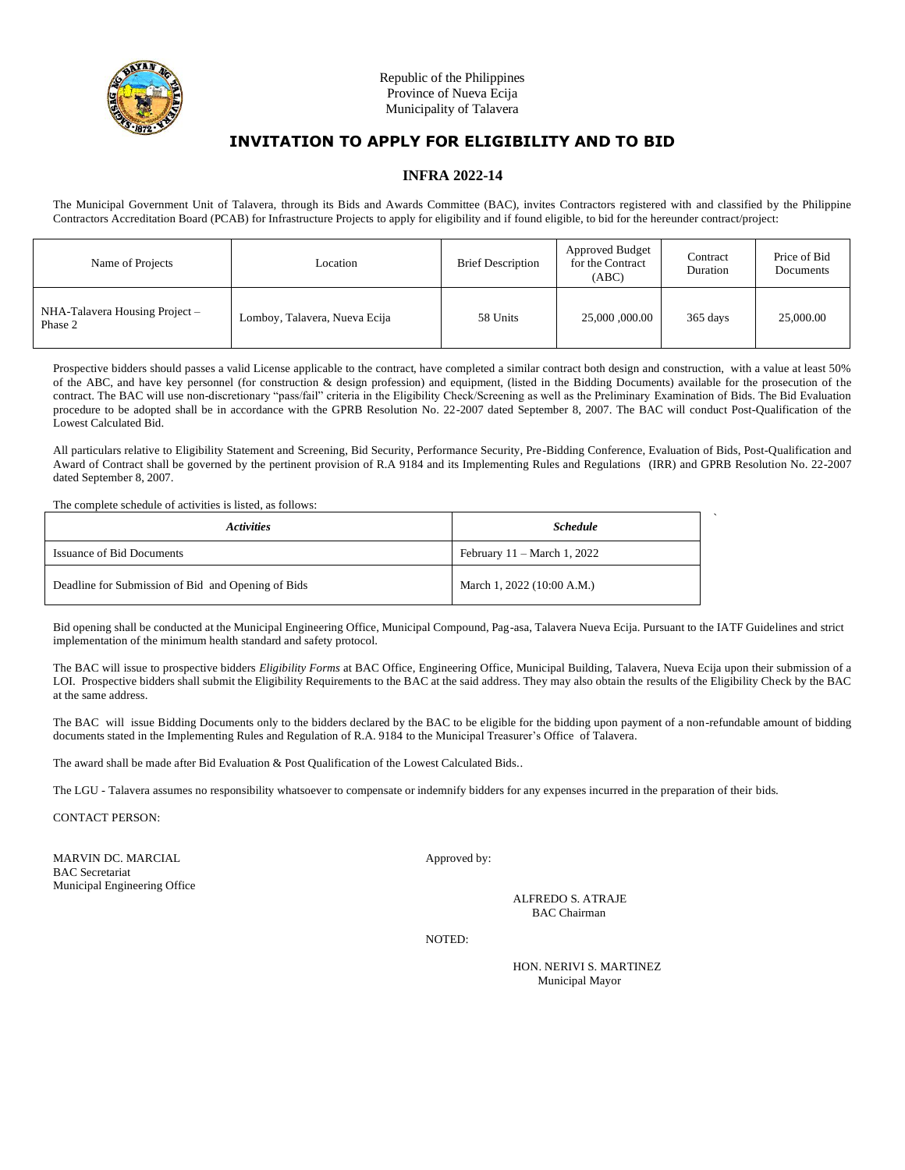

## **INFRA 2022-14**

The Municipal Government Unit of Talavera, through its Bids and Awards Committee (BAC), invites Contractors registered with and classified by the Philippine Contractors Accreditation Board (PCAB) for Infrastructure Projects to apply for eligibility and if found eligible, to bid for the hereunder contract/project:

| Name of Projects                          | Location                      | <b>Brief Description</b> | Approved Budget<br>for the Contract<br>(ABC) | Contract<br>Duration | Price of Bid<br>Documents |
|-------------------------------------------|-------------------------------|--------------------------|----------------------------------------------|----------------------|---------------------------|
| NHA-Talavera Housing Project –<br>Phase 2 | Lomboy, Talavera, Nueva Ecija | 58 Units                 | 25,000,000.00                                | 365 days             | 25,000.00                 |

Prospective bidders should passes a valid License applicable to the contract, have completed a similar contract both design and construction, with a value at least 50% of the ABC, and have key personnel (for construction & design profession) and equipment, (listed in the Bidding Documents) available for the prosecution of the contract. The BAC will use non-discretionary "pass/fail" criteria in the Eligibility Check/Screening as well as the Preliminary Examination of Bids. The Bid Evaluation procedure to be adopted shall be in accordance with the GPRB Resolution No. 22-2007 dated September 8, 2007. The BAC will conduct Post-Qualification of the Lowest Calculated Bid.

All particulars relative to Eligibility Statement and Screening, Bid Security, Performance Security, Pre-Bidding Conference, Evaluation of Bids, Post-Qualification and Award of Contract shall be governed by the pertinent provision of R.A 9184 and its Implementing Rules and Regulations (IRR) and GPRB Resolution No. 22-2007 dated September 8, 2007.

The complete schedule of activities is listed, as follows:

| <i>Activities</i>                                  | <b>Schedule</b>                       |  |
|----------------------------------------------------|---------------------------------------|--|
| <b>Issuance of Bid Documents</b>                   | February $11 - \text{March } 1, 2022$ |  |
| Deadline for Submission of Bid and Opening of Bids | March 1, 2022 (10:00 A.M.)            |  |

Bid opening shall be conducted at the Municipal Engineering Office, Municipal Compound, Pag-asa, Talavera Nueva Ecija. Pursuant to the IATF Guidelines and strict implementation of the minimum health standard and safety protocol.

The BAC will issue to prospective bidders *Eligibility Forms* at BAC Office, Engineering Office, Municipal Building, Talavera, Nueva Ecija upon their submission of a LOI. Prospective bidders shall submit the Eligibility Requirements to the BAC at the said address. They may also obtain the results of the Eligibility Check by the BAC at the same address.

The BAC will issue Bidding Documents only to the bidders declared by the BAC to be eligible for the bidding upon payment of a non-refundable amount of bidding documents stated in the Implementing Rules and Regulation of R.A. 9184 to the Municipal Treasurer's Office of Talavera.

The award shall be made after Bid Evaluation & Post Qualification of the Lowest Calculated Bids..

The LGU - Talavera assumes no responsibility whatsoever to compensate or indemnify bidders for any expenses incurred in the preparation of their bids.

CONTACT PERSON:

MARVIN DC. MARCIAL Approved by: BAC Secretariat Municipal Engineering Office

(SGD) ALFREDO S. ATRAJE BAC Chairman

NOTED:

HON. NERIVI S. MARTINEZ Municipal Mayor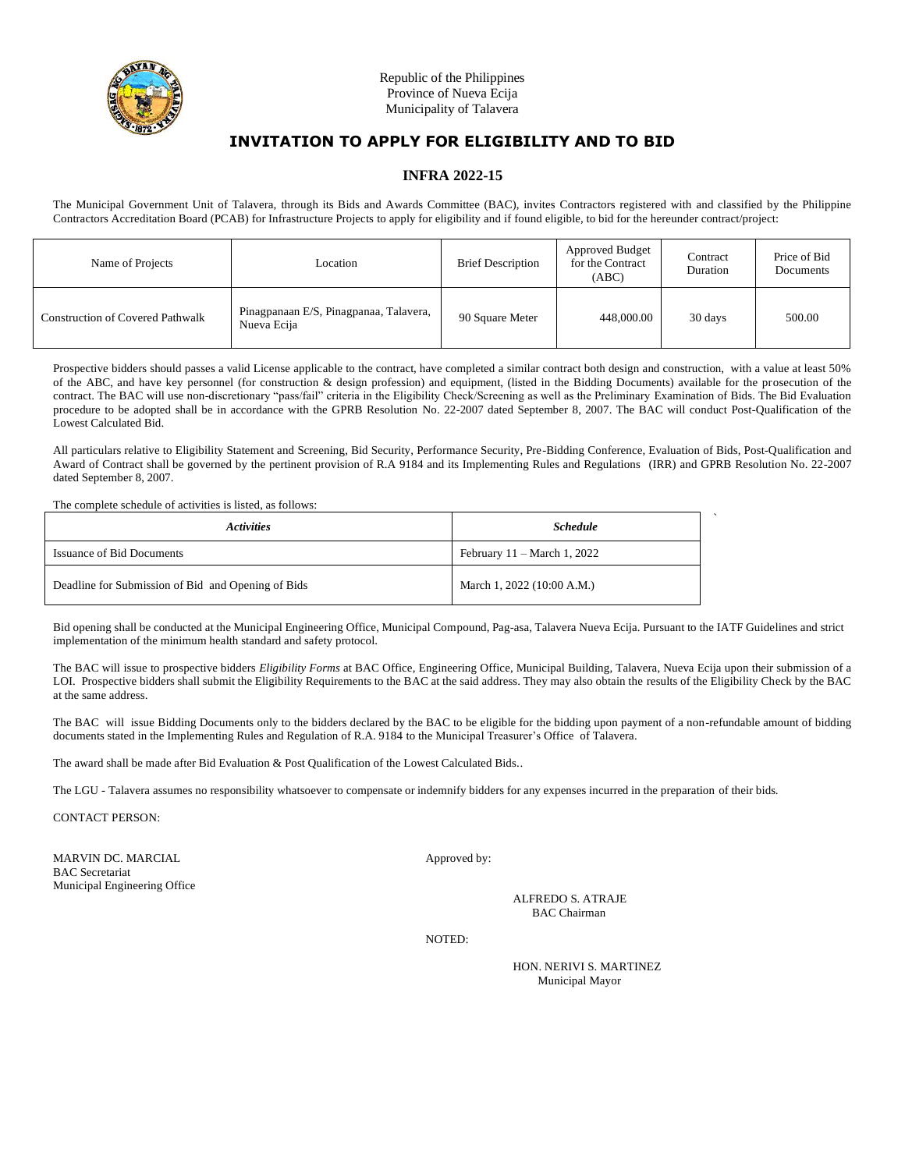

## **INFRA 2022-15**

The Municipal Government Unit of Talavera, through its Bids and Awards Committee (BAC), invites Contractors registered with and classified by the Philippine Contractors Accreditation Board (PCAB) for Infrastructure Projects to apply for eligibility and if found eligible, to bid for the hereunder contract/project:

| Name of Projects                        | Location                                              | <b>Brief Description</b> | Approved Budget<br>for the Contract<br>(ABC) | Contract<br>Duration | Price of Bid<br>Documents |
|-----------------------------------------|-------------------------------------------------------|--------------------------|----------------------------------------------|----------------------|---------------------------|
| <b>Construction of Covered Pathwalk</b> | Pinagpanaan E/S, Pinagpanaa, Talavera,<br>Nueva Ecija | 90 Square Meter          | 448,000.00                                   | 30 days              | 500.00                    |

Prospective bidders should passes a valid License applicable to the contract, have completed a similar contract both design and construction, with a value at least 50% of the ABC, and have key personnel (for construction & design profession) and equipment, (listed in the Bidding Documents) available for the prosecution of the contract. The BAC will use non-discretionary "pass/fail" criteria in the Eligibility Check/Screening as well as the Preliminary Examination of Bids. The Bid Evaluation procedure to be adopted shall be in accordance with the GPRB Resolution No. 22-2007 dated September 8, 2007. The BAC will conduct Post-Qualification of the Lowest Calculated Bid.

All particulars relative to Eligibility Statement and Screening, Bid Security, Performance Security, Pre-Bidding Conference, Evaluation of Bids, Post-Qualification and Award of Contract shall be governed by the pertinent provision of R.A 9184 and its Implementing Rules and Regulations (IRR) and GPRB Resolution No. 22-2007 dated September 8, 2007.

The complete schedule of activities is listed, as follows:

| <i>Activities</i>                                  | <b>Schedule</b>                       |  |
|----------------------------------------------------|---------------------------------------|--|
| <b>Issuance of Bid Documents</b>                   | February $11 - \text{March } 1, 2022$ |  |
| Deadline for Submission of Bid and Opening of Bids | March 1, 2022 (10:00 A.M.)            |  |

Bid opening shall be conducted at the Municipal Engineering Office, Municipal Compound, Pag-asa, Talavera Nueva Ecija. Pursuant to the IATF Guidelines and strict implementation of the minimum health standard and safety protocol.

The BAC will issue to prospective bidders *Eligibility Forms* at BAC Office, Engineering Office, Municipal Building, Talavera, Nueva Ecija upon their submission of a LOI. Prospective bidders shall submit the Eligibility Requirements to the BAC at the said address. They may also obtain the results of the Eligibility Check by the BAC at the same address.

The BAC will issue Bidding Documents only to the bidders declared by the BAC to be eligible for the bidding upon payment of a non-refundable amount of bidding documents stated in the Implementing Rules and Regulation of R.A. 9184 to the Municipal Treasurer's Office of Talavera.

The award shall be made after Bid Evaluation & Post Qualification of the Lowest Calculated Bids..

The LGU - Talavera assumes no responsibility whatsoever to compensate or indemnify bidders for any expenses incurred in the preparation of their bids.

CONTACT PERSON:

MARVIN DC. MARCIAL Approved by: BAC Secretariat Municipal Engineering Office

(SGD) ALFREDO S. ATRAJE BAC Chairman

NOTED:

HON. NERIVI S. MARTINEZ Municipal Mayor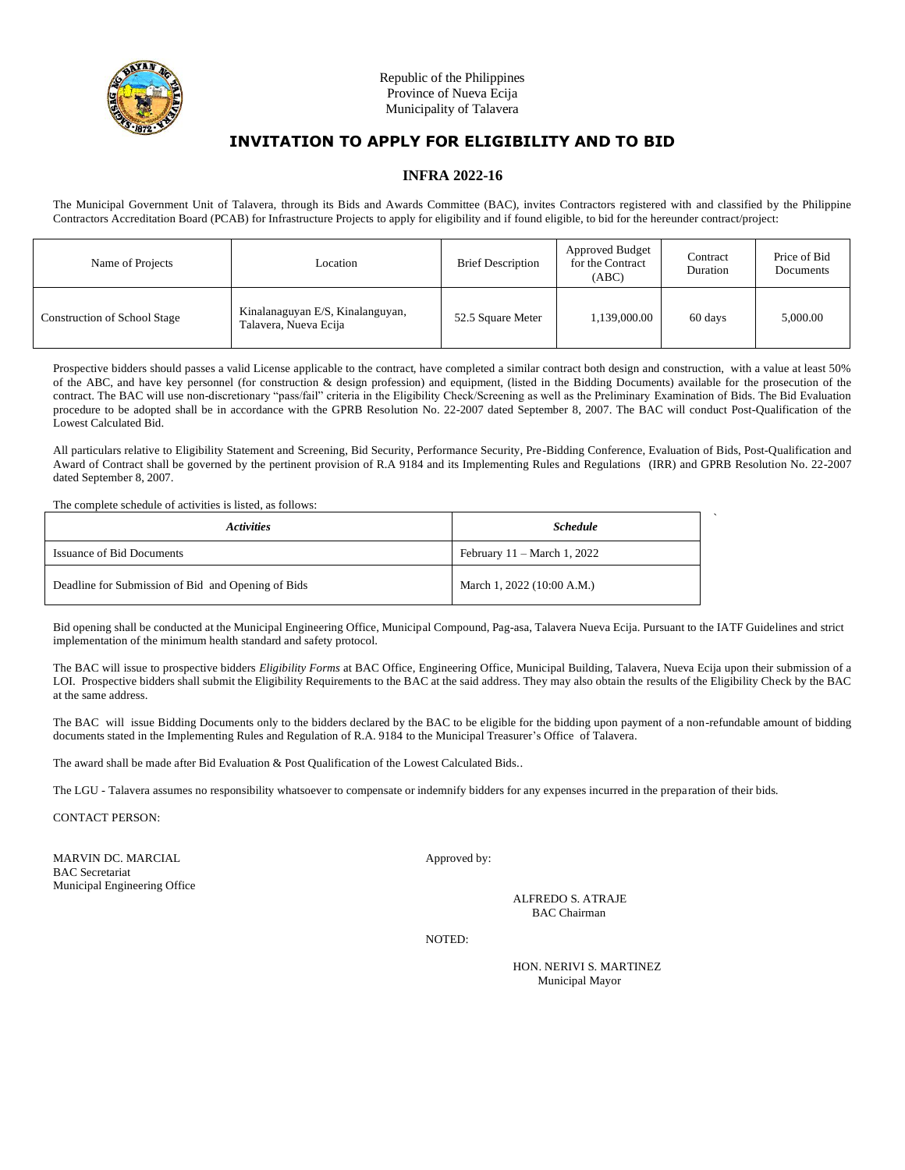

## **INFRA 2022-16**

The Municipal Government Unit of Talavera, through its Bids and Awards Committee (BAC), invites Contractors registered with and classified by the Philippine Contractors Accreditation Board (PCAB) for Infrastructure Projects to apply for eligibility and if found eligible, to bid for the hereunder contract/project:

| Name of Projects                    | Location                                                  | <b>Brief Description</b> | <b>Approved Budget</b><br>for the Contract<br>(ABC) | Contract<br>Duration | Price of Bid<br>Documents |
|-------------------------------------|-----------------------------------------------------------|--------------------------|-----------------------------------------------------|----------------------|---------------------------|
| <b>Construction of School Stage</b> | Kinalanaguyan E/S, Kinalanguyan,<br>Talavera, Nueva Ecija | 52.5 Square Meter        | 1,139,000.00                                        | 60 days              | 5,000.00                  |

Prospective bidders should passes a valid License applicable to the contract, have completed a similar contract both design and construction, with a value at least 50% of the ABC, and have key personnel (for construction & design profession) and equipment, (listed in the Bidding Documents) available for the prosecution of the contract. The BAC will use non-discretionary "pass/fail" criteria in the Eligibility Check/Screening as well as the Preliminary Examination of Bids. The Bid Evaluation procedure to be adopted shall be in accordance with the GPRB Resolution No. 22-2007 dated September 8, 2007. The BAC will conduct Post-Qualification of the Lowest Calculated Bid.

All particulars relative to Eligibility Statement and Screening, Bid Security, Performance Security, Pre-Bidding Conference, Evaluation of Bids, Post-Qualification and Award of Contract shall be governed by the pertinent provision of R.A 9184 and its Implementing Rules and Regulations (IRR) and GPRB Resolution No. 22-2007 dated September 8, 2007.

#### The complete schedule of activities is listed, as follows:

| <i><b>Activities</b></i>                           | <b>Schedule</b>                       |  |
|----------------------------------------------------|---------------------------------------|--|
| <b>Issuance of Bid Documents</b>                   | February $11 - \text{March } 1, 2022$ |  |
| Deadline for Submission of Bid and Opening of Bids | March 1, 2022 (10:00 A.M.)            |  |

Bid opening shall be conducted at the Municipal Engineering Office, Municipal Compound, Pag-asa, Talavera Nueva Ecija. Pursuant to the IATF Guidelines and strict implementation of the minimum health standard and safety protocol.

The BAC will issue to prospective bidders *Eligibility Forms* at BAC Office, Engineering Office, Municipal Building, Talavera, Nueva Ecija upon their submission of a LOI. Prospective bidders shall submit the Eligibility Requirements to the BAC at the said address. They may also obtain the results of the Eligibility Check by the BAC at the same address.

The BAC will issue Bidding Documents only to the bidders declared by the BAC to be eligible for the bidding upon payment of a non-refundable amount of bidding documents stated in the Implementing Rules and Regulation of R.A. 9184 to the Municipal Treasurer's Office of Talavera.

The award shall be made after Bid Evaluation & Post Qualification of the Lowest Calculated Bids..

The LGU - Talavera assumes no responsibility whatsoever to compensate or indemnify bidders for any expenses incurred in the preparation of their bids.

CONTACT PERSON:

MARVIN DC. MARCIAL Approved by: BAC Secretariat Municipal Engineering Office

(SGD) ALFREDO S. ATRAJE BAC Chairman

NOTED:

HON. NERIVI S. MARTINEZ Municipal Mayor